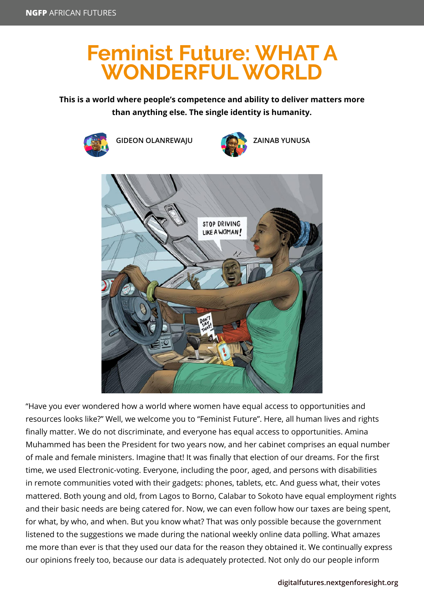## **Feminist Future: WHAT A WONDERFUL WORLD**

## **This is a world where people's competence and ability to deliver matters more than anything else. The single identity is humanity.**



"Have you ever wondered how a world where women have equal access to opportunities and resources looks like?" Well, we welcome you to "Feminist Future". Here, all human lives and rights finally matter. We do not discriminate, and everyone has equal access to opportunities. Amina Muhammed has been the President for two years now, and her cabinet comprises an equal number of male and female ministers. Imagine that! It was finally that election of our dreams. For the first time, we used Electronic-voting. Everyone, including the poor, aged, and persons with disabilities in remote communities voted with their gadgets: phones, tablets, etc. And guess what, their votes mattered. Both young and old, from Lagos to Borno, Calabar to Sokoto have equal employment rights and their basic needs are being catered for. Now, we can even follow how our taxes are being spent, for what, by who, and when. But you know what? That was only possible because the government listened to the suggestions we made during the national weekly online data polling. What amazes me more than ever is that they used our data for the reason they obtained it. We continually express our opinions freely too, because our data is adequately protected. Not only do our people inform

## **[digitalfutures.nextgenforesight.org](http://digitalfutures.nextgenforesight.org)**